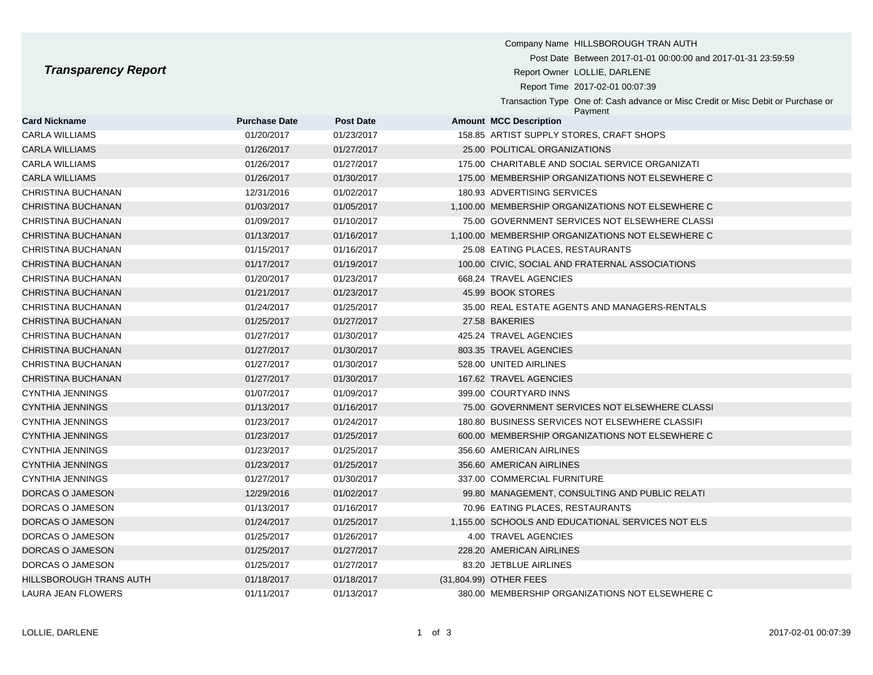## **Transparency Report**

| <b>Transparency Report</b> |                      |                  | Company Name HILLSBOROUGH TRAN AUTH<br>Post Date Between 2017-01-01 00:00:00 and 2017-01-31 23:59:59<br>Report Owner LOLLIE, DARLENE<br>Report Time 2017-02-01 00:07:39<br>Transaction Type One of: Cash advance or Misc Credit or Misc Debit or Purchase or |
|----------------------------|----------------------|------------------|--------------------------------------------------------------------------------------------------------------------------------------------------------------------------------------------------------------------------------------------------------------|
| <b>Card Nickname</b>       | <b>Purchase Date</b> | <b>Post Date</b> | Payment<br><b>Amount MCC Description</b>                                                                                                                                                                                                                     |
| CARLA WILLIAMS             | 01/20/2017           | 01/23/2017       | 158.85 ARTIST SUPPLY STORES, CRAFT SHOPS                                                                                                                                                                                                                     |
| <b>CARLA WILLIAMS</b>      | 01/26/2017           | 01/27/2017       | 25.00 POLITICAL ORGANIZATIONS                                                                                                                                                                                                                                |
| CARLA WILLIAMS             | 01/26/2017           | 01/27/2017       | 175.00 CHARITABLE AND SOCIAL SERVICE ORGANIZATI                                                                                                                                                                                                              |
| <b>CARLA WILLIAMS</b>      | 01/26/2017           | 01/30/2017       | 175.00 MEMBERSHIP ORGANIZATIONS NOT ELSEWHERE C                                                                                                                                                                                                              |
| CHRISTINA BUCHANAN         | 12/31/2016           | 01/02/2017       | 180.93 ADVERTISING SERVICES                                                                                                                                                                                                                                  |
| CHRISTINA BUCHANAN         | 01/03/2017           | 01/05/2017       | 1,100.00 MEMBERSHIP ORGANIZATIONS NOT ELSEWHERE C                                                                                                                                                                                                            |
| CHRISTINA BUCHANAN         | 01/09/2017           | 01/10/2017       | 75.00 GOVERNMENT SERVICES NOT ELSEWHERE CLASSI                                                                                                                                                                                                               |
| CHRISTINA BUCHANAN         | 01/13/2017           | 01/16/2017       | 1,100.00 MEMBERSHIP ORGANIZATIONS NOT ELSEWHERE C                                                                                                                                                                                                            |
| CHRISTINA BUCHANAN         | 01/15/2017           | 01/16/2017       | 25.08 EATING PLACES, RESTAURANTS                                                                                                                                                                                                                             |
| CHRISTINA BUCHANAN         | 01/17/2017           | 01/19/2017       | 100.00 CIVIC, SOCIAL AND FRATERNAL ASSOCIATIONS                                                                                                                                                                                                              |
| CHRISTINA BUCHANAN         | 01/20/2017           | 01/23/2017       | 668.24 TRAVEL AGENCIES                                                                                                                                                                                                                                       |
| CHRISTINA BUCHANAN         | 01/21/2017           | 01/23/2017       | 45.99 BOOK STORES                                                                                                                                                                                                                                            |
| CHRISTINA BUCHANAN         | 01/24/2017           | 01/25/2017       | 35.00 REAL ESTATE AGENTS AND MANAGERS-RENTALS                                                                                                                                                                                                                |
| CHRISTINA BUCHANAN         | 01/25/2017           | 01/27/2017       | 27.58 BAKERIES                                                                                                                                                                                                                                               |
| CHRISTINA BUCHANAN         | 01/27/2017           | 01/30/2017       | 425.24 TRAVEL AGENCIES                                                                                                                                                                                                                                       |
| CHRISTINA BUCHANAN         | 01/27/2017           | 01/30/2017       | 803.35 TRAVEL AGENCIES                                                                                                                                                                                                                                       |
| CHRISTINA BUCHANAN         | 01/27/2017           | 01/30/2017       | 528.00 UNITED AIRLINES                                                                                                                                                                                                                                       |
| CHRISTINA BUCHANAN         | 01/27/2017           | 01/30/2017       | 167.62 TRAVEL AGENCIES                                                                                                                                                                                                                                       |
| <b>CYNTHIA JENNINGS</b>    | 01/07/2017           | 01/09/2017       | 399.00 COURTYARD INNS                                                                                                                                                                                                                                        |
| <b>CYNTHIA JENNINGS</b>    | 01/13/2017           | 01/16/2017       | 75.00 GOVERNMENT SERVICES NOT ELSEWHERE CLASSI                                                                                                                                                                                                               |
|                            |                      |                  |                                                                                                                                                                                                                                                              |

| CHRISTINA BUCHANAN      | 01/09/2017 | 01/10/2017 |                        | 75.00 GOVERNMENT SERVICES NOT ELSEWHERE CLASSI    |
|-------------------------|------------|------------|------------------------|---------------------------------------------------|
| CHRISTINA BUCHANAN      | 01/13/2017 | 01/16/2017 |                        | 1,100.00 MEMBERSHIP ORGANIZATIONS NOT ELSEWHERE C |
| CHRISTINA BUCHANAN      | 01/15/2017 | 01/16/2017 |                        | 25.08 EATING PLACES, RESTAURANTS                  |
| CHRISTINA BUCHANAN      | 01/17/2017 | 01/19/2017 |                        | 100.00 CIVIC, SOCIAL AND FRATERNAL ASSOCIATIONS   |
| CHRISTINA BUCHANAN      | 01/20/2017 | 01/23/2017 |                        | 668.24 TRAVEL AGENCIES                            |
| CHRISTINA BUCHANAN      | 01/21/2017 | 01/23/2017 |                        | 45.99 BOOK STORES                                 |
| CHRISTINA BUCHANAN      | 01/24/2017 | 01/25/2017 |                        | 35.00 REAL ESTATE AGENTS AND MANAGERS-RENTALS     |
| CHRISTINA BUCHANAN      | 01/25/2017 | 01/27/2017 |                        | 27.58 BAKERIES                                    |
| CHRISTINA BUCHANAN      | 01/27/2017 | 01/30/2017 |                        | 425.24 TRAVEL AGENCIES                            |
| CHRISTINA BUCHANAN      | 01/27/2017 | 01/30/2017 |                        | 803.35 TRAVEL AGENCIES                            |
| CHRISTINA BUCHANAN      | 01/27/2017 | 01/30/2017 |                        | 528.00 UNITED AIRLINES                            |
| CHRISTINA BUCHANAN      | 01/27/2017 | 01/30/2017 |                        | 167.62 TRAVEL AGENCIES                            |
| CYNTHIA JENNINGS        | 01/07/2017 | 01/09/2017 |                        | 399.00 COURTYARD INNS                             |
| CYNTHIA JENNINGS        | 01/13/2017 | 01/16/2017 |                        | 75.00 GOVERNMENT SERVICES NOT ELSEWHERE CLASSI    |
| CYNTHIA JENNINGS        | 01/23/2017 | 01/24/2017 |                        | 180.80 BUSINESS SERVICES NOT ELSEWHERE CLASSIFI   |
| CYNTHIA JENNINGS        | 01/23/2017 | 01/25/2017 |                        | 600.00 MEMBERSHIP ORGANIZATIONS NOT ELSEWHERE C   |
| CYNTHIA JENNINGS        | 01/23/2017 | 01/25/2017 |                        | 356.60 AMERICAN AIRLINES                          |
| CYNTHIA JENNINGS        | 01/23/2017 | 01/25/2017 |                        | 356.60 AMERICAN AIRLINES                          |
| CYNTHIA JENNINGS        | 01/27/2017 | 01/30/2017 |                        | 337.00 COMMERCIAL FURNITURE                       |
| DORCAS O JAMESON        | 12/29/2016 | 01/02/2017 |                        | 99.80 MANAGEMENT, CONSULTING AND PUBLIC RELATI    |
| DORCAS O JAMESON        | 01/13/2017 | 01/16/2017 |                        | 70.96 EATING PLACES, RESTAURANTS                  |
| DORCAS O JAMESON        | 01/24/2017 | 01/25/2017 |                        | 1,155.00 SCHOOLS AND EDUCATIONAL SERVICES NOT ELS |
| DORCAS O JAMESON        | 01/25/2017 | 01/26/2017 |                        | 4.00 TRAVEL AGENCIES                              |
| DORCAS O JAMESON        | 01/25/2017 | 01/27/2017 |                        | 228.20 AMERICAN AIRLINES                          |
| DORCAS O JAMESON        | 01/25/2017 | 01/27/2017 |                        | 83.20 JETBLUE AIRLINES                            |
| HILLSBOROUGH TRANS AUTH | 01/18/2017 | 01/18/2017 | (31,804.99) OTHER FEES |                                                   |
| LAURA JEAN FLOWERS      | 01/11/2017 | 01/13/2017 |                        | 380.00 MEMBERSHIP ORGANIZATIONS NOT ELSEWHERE C   |